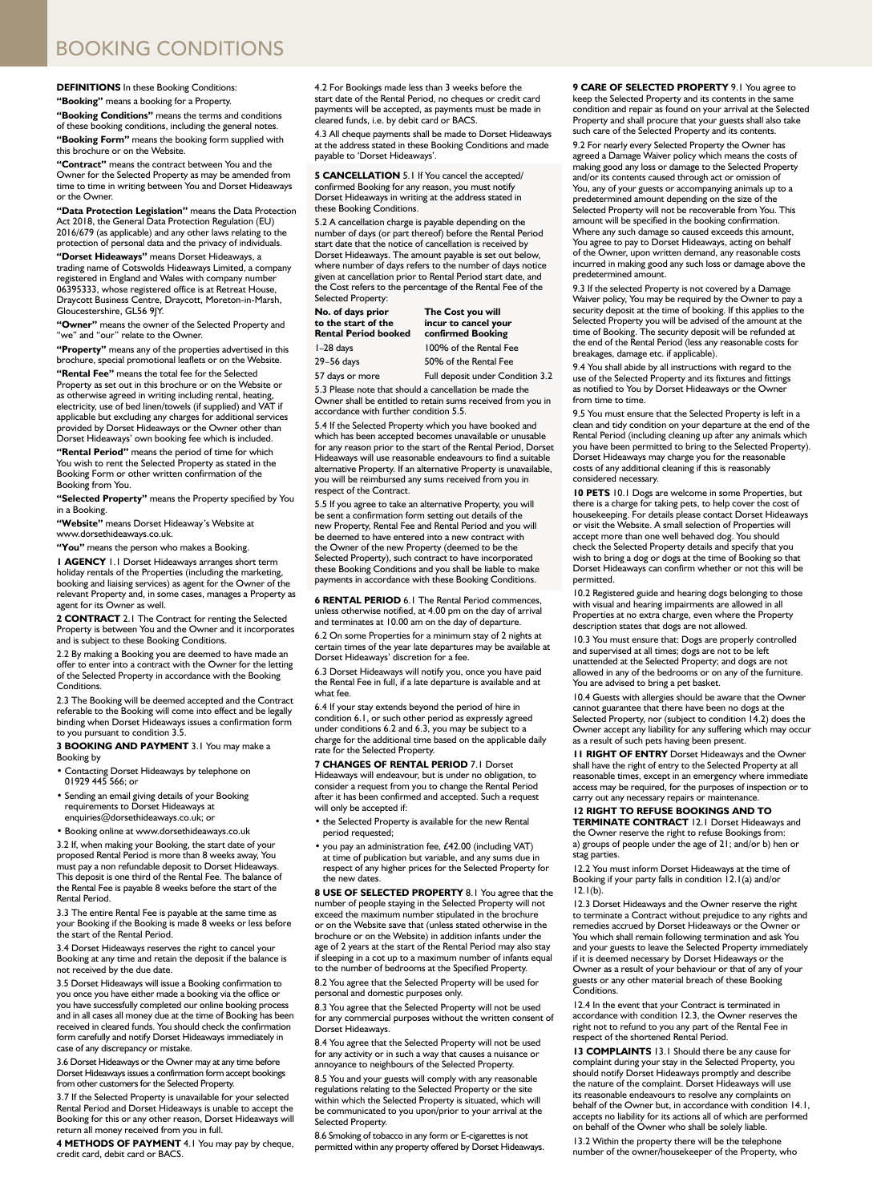## BOOKING CONDITIONS

## **DEFINITIONS** In these Booking Conditions:

**"Booking"** means a booking for a Property.

**"Booking Conditions"** means the terms and conditions of these booking conditions, including the general notes. **"Booking Form"** means the booking form supplied with this brochure or on the Website.

**"Contract"** means the contract between You and the Owner for the Selected Property as may be amended from time to time in writing between You and Dorset Hideaways or the Owner.

**"Data Protection Legislation"** means the Data Protection Act 2018, the General Data Protection Regulation (EU) 2016/679 (as applicable) and any other laws relating to the protection of personal data and the privacy of individuals.

**"Dorset Hideaways"** means Dorset Hideaways, a trading name of Cotswolds Hideaways Limited, a company registered in England and Wales with company number 06395333, whose registered office is at Retreat House, Draycott Business Centre, Draycott, Moreton-in-Marsh, Gloucestershire, GL56 9JY.

**"Owner"** means the owner of the Selected Property and "we" and "our" relate to the Owner.

**"Property"** means any of the properties advertised in this brochure, special promotional leaflets or on the Website.

**"Rental Fee"** means the total fee for the Selected Property as set out in this brochure or on the Website or as otherwise agreed in writing including rental, heating, electricity, use of bed linen/towels (if supplied) and VAT if applicable but excluding any charges for additional services provided by Dorset Hideaways or the Owner other than Dorset Hideaways' own booking fee which is included.

**"Rental Period"** means the period of time for which You wish to rent the Selected Property as stated in the Booking Form or other written confirmation of the Booking from You.

**"Selected Property"** means the Property specified by You in a Booking.

**"Website"** means Dorset Hideaway's Website at www.dorsethideaways.co.uk.

**"You"** means the person who makes a Booking.

**1 AGENCY** 1.1 Dorset Hideaways arranges short term holiday rentals of the Properties (including the marketing, booking and liaising services) as agent for the Owner of the relevant Property and, in some cases, manages a Property as agent for its Owner as well.

**2 CONTRACT** 2.1 The Contract for renting the Selected Property is between You and the Owner and it incorporates and is subject to these Booking Conditions.

2.2 By making a Booking you are deemed to have made an offer to enter into a contract with the Owner for the letting of the Selected Property in accordance with the Booking Conditions.

2.3 The Booking will be deemed accepted and the Contract referable to the Booking will come into effect and be legally binding when Dorset Hideaways issues a confirmation form to you pursuant to condition 3.5.

**3 BOOKING AND PAYMENT** 3.1 You may make a Booking by

- Contacting Dorset Hideaways by telephone on 01929 445 566; or
- Sending an email giving details of your Booking requirements to Dorset Hideaways at

enquiries@dorsethideaways.co.uk; or • Booking online at www.dorsethideaways.co.uk

3.2 If, when making your Booking, the start date of your proposed Rental Period is more than 8 weeks away, You must pay a non refundable deposit to Dorset Hideaways. This deposit is one third of the Rental Fee. The balance of the Rental Fee is payable 8 weeks before the start of the Rental Period.

3.3 The entire Rental Fee is payable at the same time as your Booking if the Booking is made 8 weeks or less before the start of the Rental Period.

3.4 Dorset Hideaways reserves the right to cancel your Booking at any time and retain the deposit if the balance is not received by the due date.

3.5 Dorset Hideaways will issue a Booking confirmation to you once you have either made a booking via the office or you have successfully completed our online booking process and in all cases all money due at the time of Booking has been received in cleared funds. You should check the confirmation form carefully and notify Dorset Hideaways immediately in case of any discrepancy or mistake.

3.6 Dorset Hideaways or the Owner may at any time before Dorset Hideaways issues a confirmation form accept bookings from other customers for the Selected Property.

3.7 If the Selected Property is unavailable for your selected Rental Period and Dorset Hideaways is unable to accept the Booking for this or any other reason, Dorset Hideaways will return all money received from you in full.

**4 METHODS OF PAYMENT** 4.1 You may pay by cheque, credit card, debit card or BACS.

4.2 For Bookings made less than 3 weeks before the start date of the Rental Period, no cheques or credit card payments will be accepted, as payments must be made in cleared funds, i.e. by debit card or BACS.

4.3 All cheque payments shall be made to Dorset Hideaways at the address stated in these Booking Conditions and made payable to 'Dorset Hideaways'.

**5 CANCELLATION** 5.1 If You cancel the accepted/ confirmed Booking for any reason, you must notify Dorset Hideaways in writing at the address stated in these Booking Conditions.

5.2 A cancellation charge is payable depending on the number of days (or part thereof) before the Rental Period start date that the notice of cancellation is received by Dorset Hideaways. The amount payable is set out below, where number of days refers to the number of days notice given at cancellation prior to Rental Period start date, and the Cost refers to the percentage of the Rental Fee of the Selected Property:

**No. of days prior The Cost you will to the start of the incur to cancel your Rental Period booked confirmed Booking** 1–28 days 100% of the Rental Fee 29–56 days 50% of the Rental Fee

57 days or more Full deposit under Condition 3.2

5.3 Please note that should a cancellation be made the Owner shall be entitled to retain sums received from you in accordance with further condition 5.5.

5.4 If the Selected Property which you have booked and which has been accepted becomes unavailable or unusable for any reason prior to the start of the Rental Period, Dorset Hideaways will use reasonable endeavours to find a suitable alternative Property. If an alternative Property is unavailable, you will be reimbursed any sums received from you in respect of the Contract.

5.5 If you agree to take an alternative Property, you will be sent a confirmation form setting out details of the new Property, Rental Fee and Rental Period and you will be deemed to have entered into a new contract with the Owner of the new Property (deemed to be the Selected Property), such contract to have incorporated these Booking Conditions and you shall be liable to make payments in accordance with these Booking Conditions.

**6 RENTAL PERIOD** 6.1 The Rental Period commences, unless otherwise notified, at 4.00 pm on the day of arrival and terminates at 10.00 am on the day of departure.

6.2 On some Properties for a minimum stay of 2 nights at certain times of the year late departures may be available at Dorset Hideaways' discretion for a fee.

6.3 Dorset Hideaways will notify you, once you have paid the Rental Fee in full, if a late departure is available and at what fee.

6.4 If your stay extends beyond the period of hire in condition 6.1, or such other period as expressly agreed under conditions 6.2 and 6.3, you may be subject to a charge for the additional time based on the applicable daily rate for the Selected Property.

**7 CHANGES OF RENTAL PERIOD** 7.1 Dorset Hideaways will endeavour, but is under no obligation, to consider a request from you to change the Rental Period after it has been confirmed and accepted. Such a request will only be accepted if:

• the Selected Property is available for the new Rental period requested;

• you pay an administration fee, £42.00 (including VAT) at time of publication but variable, and any sums due in respect of any higher prices for the Selected Property for the new dates.

**8 USE OF SELECTED PROPERTY** 8.1 You agree that the number of people staying in the Selected Property will not exceed the maximum number stipulated in the brochure or on the Website save that (unless stated otherwise in the brochure or on the Website) in addition infants under the age of 2 years at the start of the Rental Period may also stay if sleeping in a cot up to a maximum number of infants equal to the number of bedrooms at the Specified Property. 8.2 You agree that the Selected Property will be used for personal and domestic purposes only.

8.3 You agree that the Selected Property will not be used for any commercial purposes without the written consent of Dorset Hideaways.

8.4 You agree that the Selected Property will not be used for any activity or in such a way that causes a nuisance or annoyance to neighbours of the Selected Property.

8.5 You and your guests will comply with any reasonable regulations relating to the Selected Property or the site within which the Selected Property is situated, which will be communicated to you upon/prior to your arrival at the Selected Property.

8.6 Smoking of tobacco in any form or E-cigarettes is not permitted within any property offered by Dorset Hideaways.

**9 CARE OF SELECTED PROPERTY** 9.1 You agree to keep the Selected Property and its contents in the same condition and repair as found on your arrival at the Selected Property and shall procure that your guests shall also take such care of the Selected Property and its contents.

9.2 For nearly every Selected Property the Owner has agreed a Damage Waiver policy which means the costs of making good any loss or damage to the Selected Property and/or its contents caused through act or omission of You, any of your guests or accompanying animals up to a predetermined amount depending on the size of the Selected Property will not be recoverable from You. This amount will be specified in the booking confirmation. Where any such damage so caused exceeds this amount, You agree to pay to Dorset Hideaways, acting on behalf of the Owner, upon written demand, any reasonable costs incurred in making good any such loss or damage above the predetermined amount.

9.3 If the selected Property is not covered by a Damage Waiver policy, You may be required by the Owner to pay a security deposit at the time of booking. If this applies to the Selected Property you will be advised of the amount at the time of Booking. The security deposit will be refunded at the end of the Rental Period (less any reasonable costs for breakages, damage etc. if applicable).

9.4 You shall abide by all instructions with regard to the use of the Selected Property and its fixtures and fittings as notified to You by Dorset Hideaways or the Owner from time to time.

9.5 You must ensure that the Selected Property is left in a clean and tidy condition on your departure at the end of the Rental Period (including cleaning up after any animals which you have been permitted to bring to the Selected Property). Dorset Hideaways may charge you for the reasonable costs of any additional cleaning if this is reasonably considered necessary.

**10 PETS** 10.1 Dogs are welcome in some Properties, but there is a charge for taking pets, to help cover the cost of housekeeping. For details please contact Dorset Hideaways or visit the Website. A small selection of Properties will accept more than one well behaved dog. You should check the Selected Property details and specify that you wish to bring a dog or dogs at the time of Booking so that Dorset Hideaways can confirm whether or not this will be permitted.

10.2 Registered guide and hearing dogs belonging to those with visual and hearing impairments are allowed in all Properties at no extra charge, even where the Property description states that dogs are not allowed.

10.3 You must ensure that: Dogs are properly controlled and supervised at all times; dogs are not to be left unattended at the Selected Property; and dogs are not allowed in any of the bedrooms or on any of the furniture. You are advised to bring a pet basket.

10.4 Guests with allergies should be aware that the Owner cannot guarantee that there have been no dogs at the Selected Property, nor (subject to condition 14.2) does the Owner accept any liability for any suffering which may occur as a result of such pets having been present.

**11 RIGHT OF ENTRY** Dorset Hideaways and the Owner shall have the right of entry to the Selected Property at all reasonable times, except in an emergency where immediate access may be required, for the purposes of inspection or to carry out any necessary repairs or maintenance.

## **12 RIGHT TO REFUSE BOOKINGS AND TO**

**TERMINATE CONTRACT** 12.1 Dorset Hideaways and the Owner reserve the right to refuse Bookings from: a) groups of people under the age of 21; and/or b) hen or stag parties.

12.2 You must inform Dorset Hideaways at the time of Booking if your party falls in condition 12.1(a) and/or  $12.1(b)$ .

12.3 Dorset Hideaways and the Owner reserve the right to terminate a Contract without prejudice to any rights and remedies accrued by Dorset Hideaways or the Owner or You which shall remain following termination and ask You and your guests to leave the Selected Property immediately if it is deemed necessary by Dorset Hideaways or the Owner as a result of your behaviour or that of any of your guests or any other material breach of these Booking Conditions.

12.4 In the event that your Contract is terminated in accordance with condition 12.3, the Owner reserves the right not to refund to you any part of the Rental Fee in respect of the shortened Rental Period.

**13 COMPLAINTS** 13.1 Should there be any cause for complaint during your stay in the Selected Property, you should notify Dorset Hideaways promptly and described the nature of the complaint. Dorset Hideaways will use its reasonable endeavours to resolve any complaints on behalf of the Owner but, in accordance with condition 14.1, accepts no liability for its actions all of which are performed on behalf of the Owner who shall be solely liable

13.2 Within the property there will be the telephone number of the owner/housekeeper of the Property, who